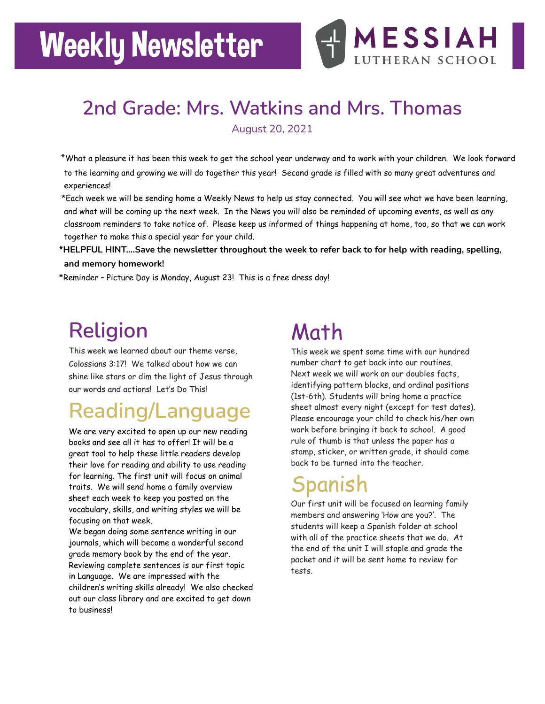# **Weekly Newsletter**



#### **2nd Grade: Mrs. Watkins and Mrs. Thomas** August 20, 2021

\*What a pleasure it has been this week to get the school year underway and to work with your children. We look forward to the learning and growing we will do together this year! Second grade is filled with so many great adventures and experiences!

\*Each week we will be sending home a Weekly News to help us stay connected. You will see what we have been learning, and what will be coming up the next week. In the News you will also be reminded of upcoming events, as well as any classroom reminders to take notice of. Please keep us informed of things happening at home, too, so that we can work together to make this a special year for your child.

**\*HELPFUL HINT.…Save the newsletter throughout the week to refer back to for help with reading, spelling, and memory homework!**

\*Reminder – Picture Day is Monday, August 23! This is a free dress day!

### **Religion**

This week we learned about our theme verse, Colossians 3:17! We talked about how we can shine like stars or dim the light of Jesus through our words and actions! Let's Do This!

### **Reading/Language**

We are very excited to open up our new reading books and see all it has to offer! It will be a great tool to help these little readers develop their love for reading and ability to use reading for learning. The first unit will focus on animal traits. We will send home a family overview sheet each week to keep you posted on the vocabulary, skills, and writing styles we will be focusing on that week.

We began doing some sentence writing in our journals, which will become a wonderful second grade memory book by the end of the year. Reviewing complete sentences is our first topic in Language. We are impressed with the children's writing skills already! We also checked out our class library and are excited to get down to business!

### Math

This week we spent some time with our hundred number chart to get back into our routines. Next week we will work on our doubles facts, identifying pattern blocks, and ordinal positions (1st-6th). Students will bring home a practice sheet almost every night (except for test dates). Please encourage your child to check his/her own work before bringing it back to school. A good rule of thumb is that unless the paper has a stamp, sticker, or written grade, it should come back to be turned into the teacher.

### Spanish

Our first unit will be focused on learning family members and answering 'How are you?'. The students will keep a Spanish folder at school with all of the practice sheets that we do. At the end of the unit I will staple and grade the packet and it will be sent home to review for tests.